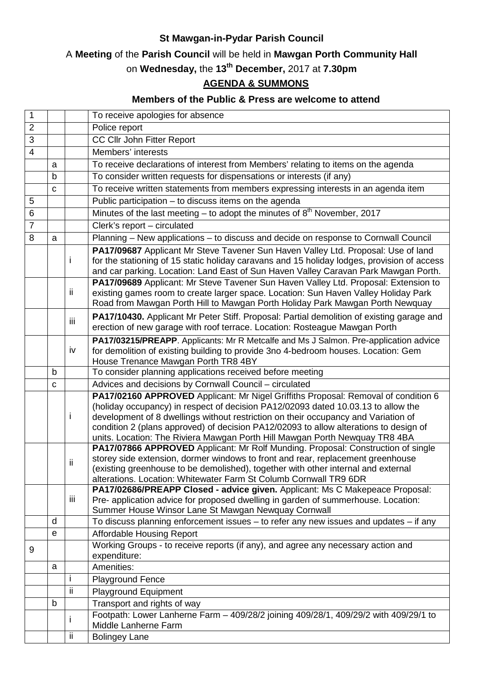## **St Mawgan-in-Pydar Parish Council**

## A **Meeting** of the **Parish Council** will be held in **Mawgan Porth Community Hall**

on **Wednesday,** the **13th December,** 2017 at **7.30pm**

## **AGENDA & SUMMONS**

## **Members of the Public & Press are welcome to attend**

| $\mathbf 1$    |              |     | To receive apologies for absence                                                                                                                                                                                                                                                                                                                                                                                                      |
|----------------|--------------|-----|---------------------------------------------------------------------------------------------------------------------------------------------------------------------------------------------------------------------------------------------------------------------------------------------------------------------------------------------------------------------------------------------------------------------------------------|
| $\overline{2}$ |              |     | Police report                                                                                                                                                                                                                                                                                                                                                                                                                         |
| 3              |              |     | CC Cllr John Fitter Report                                                                                                                                                                                                                                                                                                                                                                                                            |
| $\overline{4}$ |              |     | Members' interests                                                                                                                                                                                                                                                                                                                                                                                                                    |
|                | a            |     | To receive declarations of interest from Members' relating to items on the agenda                                                                                                                                                                                                                                                                                                                                                     |
|                | $\mathsf{b}$ |     | To consider written requests for dispensations or interests (if any)                                                                                                                                                                                                                                                                                                                                                                  |
|                | C            |     | To receive written statements from members expressing interests in an agenda item                                                                                                                                                                                                                                                                                                                                                     |
| 5              |              |     | Public participation - to discuss items on the agenda                                                                                                                                                                                                                                                                                                                                                                                 |
| $6\phantom{1}$ |              |     | Minutes of the last meeting – to adopt the minutes of $8th$ November, 2017                                                                                                                                                                                                                                                                                                                                                            |
| $\overline{7}$ |              |     | Clerk's report - circulated                                                                                                                                                                                                                                                                                                                                                                                                           |
| 8              | a            |     | Planning - New applications - to discuss and decide on response to Cornwall Council                                                                                                                                                                                                                                                                                                                                                   |
|                |              | Ť   | PA17/09687 Applicant Mr Steve Tavener Sun Haven Valley Ltd. Proposal: Use of land<br>for the stationing of 15 static holiday caravans and 15 holiday lodges, provision of access<br>and car parking. Location: Land East of Sun Haven Valley Caravan Park Mawgan Porth.                                                                                                                                                               |
|                |              | ij. | PA17/09689 Applicant: Mr Steve Tavener Sun Haven Valley Ltd. Proposal: Extension to<br>existing games room to create larger space. Location: Sun Haven Valley Holiday Park<br>Road from Mawgan Porth Hill to Mawgan Porth Holiday Park Mawgan Porth Newquay                                                                                                                                                                           |
|                |              | iii | PA17/10430. Applicant Mr Peter Stiff. Proposal: Partial demolition of existing garage and<br>erection of new garage with roof terrace. Location: Rosteague Mawgan Porth                                                                                                                                                                                                                                                               |
|                |              | iv  | PA17/03215/PREAPP. Applicants: Mr R Metcalfe and Ms J Salmon. Pre-application advice<br>for demolition of existing building to provide 3no 4-bedroom houses. Location: Gem<br>House Trenance Mawgan Porth TR8 4BY                                                                                                                                                                                                                     |
|                | $\mathbf b$  |     | To consider planning applications received before meeting                                                                                                                                                                                                                                                                                                                                                                             |
|                | C            |     | Advices and decisions by Cornwall Council - circulated                                                                                                                                                                                                                                                                                                                                                                                |
|                |              | Ť   | PA17/02160 APPROVED Applicant: Mr Nigel Griffiths Proposal: Removal of condition 6<br>(holiday occupancy) in respect of decision PA12/02093 dated 10.03.13 to allow the<br>development of 8 dwellings without restriction on their occupancy and Variation of<br>condition 2 (plans approved) of decision PA12/02093 to allow alterations to design of<br>units. Location: The Riviera Mawgan Porth Hill Mawgan Porth Newquay TR8 4BA |
|                |              | ii  | PA17/07866 APPROVED Applicant: Mr Rolf Munding. Proposal: Construction of single<br>storey side extension, dormer windows to front and rear, replacement greenhouse<br>(existing greenhouse to be demolished), together with other internal and external<br>alterations. Location: Whitewater Farm St Columb Cornwall TR9 6DR                                                                                                         |
|                |              | iii | PA17/02686/PREAPP Closed - advice given. Applicant: Ms C Makepeace Proposal:<br>Pre- application advice for proposed dwelling in garden of summerhouse. Location:<br>Summer House Winsor Lane St Mawgan Newquay Cornwall                                                                                                                                                                                                              |
|                | d            |     | To discuss planning enforcement issues - to refer any new issues and updates - if any                                                                                                                                                                                                                                                                                                                                                 |
|                | e            |     | <b>Affordable Housing Report</b>                                                                                                                                                                                                                                                                                                                                                                                                      |
| 9              |              |     | Working Groups - to receive reports (if any), and agree any necessary action and<br>expenditure:                                                                                                                                                                                                                                                                                                                                      |
|                | a            |     | Amenities:                                                                                                                                                                                                                                                                                                                                                                                                                            |
|                |              | Ť   | <b>Playground Fence</b>                                                                                                                                                                                                                                                                                                                                                                                                               |
|                |              | ii  | <b>Playground Equipment</b>                                                                                                                                                                                                                                                                                                                                                                                                           |
|                | b            |     | Transport and rights of way                                                                                                                                                                                                                                                                                                                                                                                                           |
|                |              | Ť   | Footpath: Lower Lanherne Farm - 409/28/2 joining 409/28/1, 409/29/2 with 409/29/1 to<br>Middle Lanherne Farm                                                                                                                                                                                                                                                                                                                          |
|                |              | ii  | <b>Bolingey Lane</b>                                                                                                                                                                                                                                                                                                                                                                                                                  |